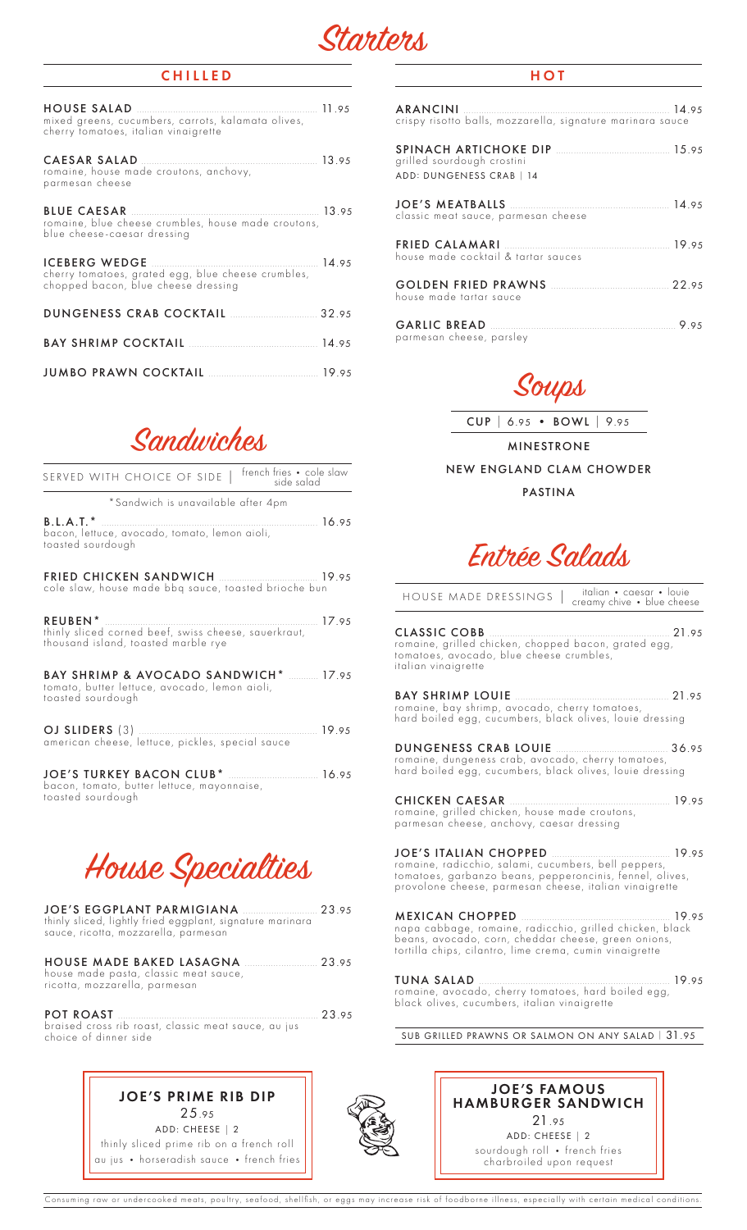

#### CHILLED

| mixed greens, cucumbers, carrots, kalamata olives,<br>cherry fomatoes, italian vinaigrette                                 |  |
|----------------------------------------------------------------------------------------------------------------------------|--|
| romaine, house made croutons, anchovy,<br>parmesan cheese                                                                  |  |
| romaine, blue cheese crumbles, house made croutons,<br>blue cheese-caesar dressing                                         |  |
| 14.95<br><b>ICEBERG WEDGE</b><br>cherry tomatoes, grated egg, blue cheese crumbles,<br>chopped bacon, blue cheese dressing |  |
|                                                                                                                            |  |
|                                                                                                                            |  |
| <b>JUMBO PRAWN COCKTAIL MALLE 2008</b> 19.95                                                                               |  |

Sandwiches

| SERVED WITH CHOICE OF SIDE   french fries . cole slaw                                                                 |
|-----------------------------------------------------------------------------------------------------------------------|
| *Sandwich is unavailable after 4pm                                                                                    |
| <b>B.L.A.T.</b> *<br>16.95<br>bacon, lettuce, avocado, tomato, lemon aioli,<br>toasted sourdough                      |
| cole slaw, house made bbq sauce, toasted brioche bun                                                                  |
| REUBEN*<br>thinly sliced corned beef, swiss cheese, sauerkraut,<br>thousand island, toasted marble rye                |
| <b>BAY SHRIMP &amp; AVOCADO SANDWICH*</b> 17.95<br>tomato, butter lettuce, avocado, lemon aioli,<br>toasted sourdough |
| american cheese, lettuce, pickles, special sauce                                                                      |
| bacon, tomato, butter lettuce, mayonnaise,<br>toasted sourdough                                                       |



| thinly sliced, lightly fried eggplant, signature marinara<br>sauce, ricotta, mozzarella, parmesan        |      |
|----------------------------------------------------------------------------------------------------------|------|
| HOUSE MADE BAKED LASAGNA 23.95<br>house made pasta, classic meat sauce,<br>ricotta, mozzarella, parmesan |      |
| POT ROAST<br>braised cross rib roast, classic meat sauce, au jus                                         | 2395 |

braised cross rib roast, classic meat sauce, au jus choice of dinner side

## JOE'S PRIME RIB DIP 25.95 ADD: CHEESE | 2

thinly sliced prime rib on a french roll au jus • horseradish sauce • french fries

### **HOT**

| crispy risotto balls, mozzarella, signature marinara sauce  |  |
|-------------------------------------------------------------|--|
| grilled sourdough crostini<br>ADD: DUNGENESS CRAB   14      |  |
| classic meat sauce, parmesan cheese                         |  |
| house made cocktail & tartar sauces                         |  |
| <b>GOLDEN FRIED PRAWNS</b> 22.95<br>house made tartar sauce |  |
| parmesan cheese, parsley                                    |  |



CUP | 6.95 • BOWL | 9.95

MINESTRONE NEW ENGLAND CLAM CHOWDER

PASTINA

Entrée Salads

HOUSE MADE DRESSINGS | italian • caesar • louie<br>creamy chive • blue cheese

CLASSIC COBB ...................................................................... 21.95 romaine, grilled chicken, chopped bacon, grated egg, tomatoes, avocado, blue cheese crumbles, italian vinaigrette

BAY SHRIMP LOUIE ............................................................ 21.95 romaine, bay shrimp, avocado, cherry tomatoes, hard boiled egg, cucumbers, black olives, louie dressing

DUNGENESS CRAB LOUIE ............................................ 36.95 romaine, dungeness crab, avocado, cherry tomatoes, hard boiled egg, cucumbers, black olives, louie dressing

CHICKEN CAESAR .............................................................. 19.95 romaine, grilled chicken, house made croutons, parmesan cheese, anchovy, caesar dressing

JOE'S ITALIAN CHOPPED .............................................. 19.95 romaine, radicchio, salami, cucumbers, bell peppers, tomatoes, garbanzo beans, pepperoncinis, fennel, olives, provolone cheese, parmesan cheese, italian vinaigrette

MEXICAN CHOPPED .......................................................... 19.95 napa cabbage, romaine, radicchio, grilled chicken, black beans, avocado, corn, cheddar cheese, green onions, tortilla chips, cilantro, lime crema, cumin vinaigrette

TUNA SALAD .......................................................................... 19.95 romaine, avocado, cherry tomatoes, hard boiled egg, black olives, cucumbers, italian vinaigrette

SUB GRILLED PRAWNS OR SALMON ON ANY SALAD <sup>|</sup> 31.95



Consuming raw or undercooked meats, poultry, seafood, shellfish, or eggs may increase risk of foodborne illness, especially with certain medical conditions.